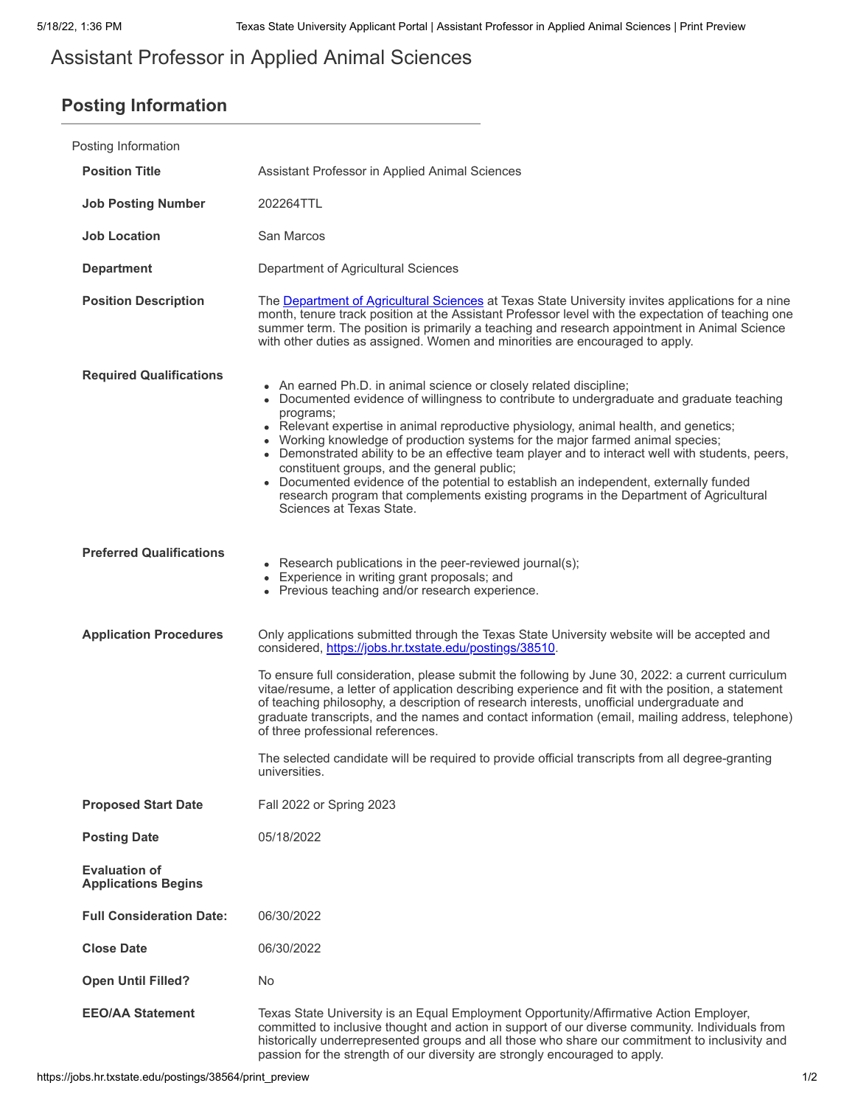# Assistant Professor in Applied Animal Sciences

## **Posting Information**

| Posting Information                                |                                                                                                                                                                                                                                                                                                                                                                                                                                                                                                                                                                                                                                                                                                                       |
|----------------------------------------------------|-----------------------------------------------------------------------------------------------------------------------------------------------------------------------------------------------------------------------------------------------------------------------------------------------------------------------------------------------------------------------------------------------------------------------------------------------------------------------------------------------------------------------------------------------------------------------------------------------------------------------------------------------------------------------------------------------------------------------|
| <b>Position Title</b>                              | Assistant Professor in Applied Animal Sciences                                                                                                                                                                                                                                                                                                                                                                                                                                                                                                                                                                                                                                                                        |
| <b>Job Posting Number</b>                          | 202264TTL                                                                                                                                                                                                                                                                                                                                                                                                                                                                                                                                                                                                                                                                                                             |
| <b>Job Location</b>                                | San Marcos                                                                                                                                                                                                                                                                                                                                                                                                                                                                                                                                                                                                                                                                                                            |
| <b>Department</b>                                  | Department of Agricultural Sciences                                                                                                                                                                                                                                                                                                                                                                                                                                                                                                                                                                                                                                                                                   |
| <b>Position Description</b>                        | The <b>Department of Agricultural Sciences</b> at Texas State University invites applications for a nine<br>month, tenure track position at the Assistant Professor level with the expectation of teaching one<br>summer term. The position is primarily a teaching and research appointment in Animal Science<br>with other duties as assigned. Women and minorities are encouraged to apply.                                                                                                                                                                                                                                                                                                                        |
| <b>Required Qualifications</b>                     | • An earned Ph.D. in animal science or closely related discipline;<br>• Documented evidence of willingness to contribute to undergraduate and graduate teaching<br>programs;<br>• Relevant expertise in animal reproductive physiology, animal health, and genetics;<br>Working knowledge of production systems for the major farmed animal species;<br>• Demonstrated ability to be an effective team player and to interact well with students, peers,<br>constituent groups, and the general public;<br>• Documented evidence of the potential to establish an independent, externally funded<br>research program that complements existing programs in the Department of Agricultural<br>Sciences at Texas State. |
| <b>Preferred Qualifications</b>                    | • Research publications in the peer-reviewed journal(s);<br>• Experience in writing grant proposals; and<br>• Previous teaching and/or research experience.                                                                                                                                                                                                                                                                                                                                                                                                                                                                                                                                                           |
| <b>Application Procedures</b>                      | Only applications submitted through the Texas State University website will be accepted and<br>considered, https://jobs.hr.txstate.edu/postings/38510.                                                                                                                                                                                                                                                                                                                                                                                                                                                                                                                                                                |
|                                                    | To ensure full consideration, please submit the following by June 30, 2022: a current curriculum<br>vitae/resume, a letter of application describing experience and fit with the position, a statement<br>of teaching philosophy, a description of research interests, unofficial undergraduate and<br>graduate transcripts, and the names and contact information (email, mailing address, telephone)<br>of three professional references.<br>The selected candidate will be required to provide official transcripts from all degree-granting<br>universities.                                                                                                                                                      |
|                                                    |                                                                                                                                                                                                                                                                                                                                                                                                                                                                                                                                                                                                                                                                                                                       |
| <b>Proposed Start Date</b>                         | Fall 2022 or Spring 2023                                                                                                                                                                                                                                                                                                                                                                                                                                                                                                                                                                                                                                                                                              |
| <b>Posting Date</b>                                | 05/18/2022                                                                                                                                                                                                                                                                                                                                                                                                                                                                                                                                                                                                                                                                                                            |
| <b>Evaluation of</b><br><b>Applications Begins</b> |                                                                                                                                                                                                                                                                                                                                                                                                                                                                                                                                                                                                                                                                                                                       |
| <b>Full Consideration Date:</b>                    | 06/30/2022                                                                                                                                                                                                                                                                                                                                                                                                                                                                                                                                                                                                                                                                                                            |
| <b>Close Date</b>                                  | 06/30/2022                                                                                                                                                                                                                                                                                                                                                                                                                                                                                                                                                                                                                                                                                                            |
| <b>Open Until Filled?</b>                          | No.                                                                                                                                                                                                                                                                                                                                                                                                                                                                                                                                                                                                                                                                                                                   |
| <b>EEO/AA Statement</b>                            | Texas State University is an Equal Employment Opportunity/Affirmative Action Employer,<br>committed to inclusive thought and action in support of our diverse community. Individuals from<br>historically underrepresented groups and all those who share our commitment to inclusivity and<br>passion for the strength of our diversity are strongly encouraged to apply.                                                                                                                                                                                                                                                                                                                                            |